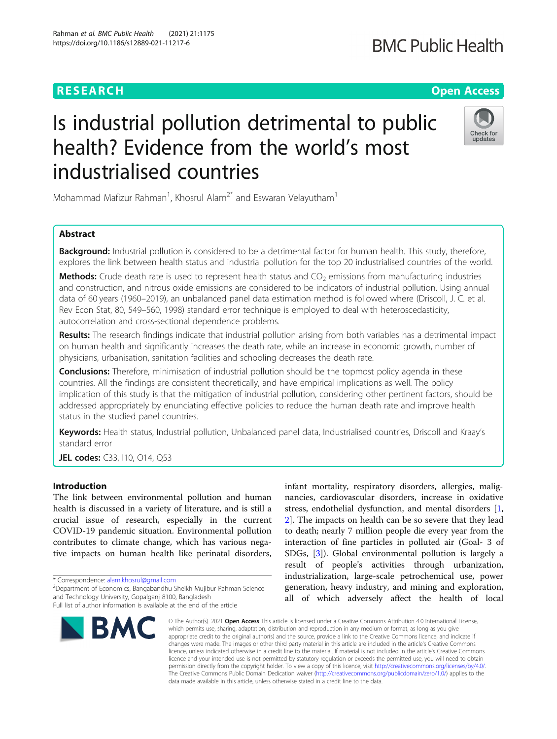# **RESEARCH CHE Open Access**

# **BMC Public Health**

# Is industrial pollution detrimental to public health? Evidence from the world's most industrialised countries



Mohammad Mafizur Rahman<sup>1</sup>, Khosrul Alam<sup>2\*</sup> and Eswaran Velayutham<sup>1</sup>

# Abstract

Background: Industrial pollution is considered to be a detrimental factor for human health. This study, therefore, explores the link between health status and industrial pollution for the top 20 industrialised countries of the world.

**Methods:** Crude death rate is used to represent health status and  $CO<sub>2</sub>$  emissions from manufacturing industries and construction, and nitrous oxide emissions are considered to be indicators of industrial pollution. Using annual data of 60 years (1960–2019), an unbalanced panel data estimation method is followed where (Driscoll, J. C. et al. Rev Econ Stat, 80, 549–560, 1998) standard error technique is employed to deal with heteroscedasticity, autocorrelation and cross-sectional dependence problems.

Results: The research findings indicate that industrial pollution arising from both variables has a detrimental impact on human health and significantly increases the death rate, while an increase in economic growth, number of physicians, urbanisation, sanitation facilities and schooling decreases the death rate.

**Conclusions:** Therefore, minimisation of industrial pollution should be the topmost policy agenda in these countries. All the findings are consistent theoretically, and have empirical implications as well. The policy implication of this study is that the mitigation of industrial pollution, considering other pertinent factors, should be addressed appropriately by enunciating effective policies to reduce the human death rate and improve health status in the studied panel countries.

Keywords: Health status, Industrial pollution, Unbalanced panel data, Industrialised countries, Driscoll and Kraay's standard error

JEL codes: C33, 110, O14, Q53

# Introduction

The link between environmental pollution and human health is discussed in a variety of literature, and is still a crucial issue of research, especially in the current COVID-19 pandemic situation. Environmental pollution contributes to climate change, which has various negative impacts on human health like perinatal disorders,

\* Correspondence: [alam.khosrul@gmail.com](mailto:alam.khosrul@gmail.com) <sup>2</sup>

Department of Economics, Bangabandhu Sheikh Mujibur Rahman Science and Technology University, Gopalganj 8100, Bangladesh Full list of author information is available at the end of the article

infant mortality, respiratory disorders, allergies, malignancies, cardiovascular disorders, increase in oxidative stress, endothelial dysfunction, and mental disorders [\[1](#page-8-0), [2\]](#page-8-0). The impacts on health can be so severe that they lead to death; nearly 7 million people die every year from the interaction of fine particles in polluted air (Goal- 3 of SDGs, [[3\]](#page-8-0)). Global environmental pollution is largely a result of people's activities through urbanization, industrialization, large-scale petrochemical use, power generation, heavy industry, and mining and exploration, all of which adversely affect the health of local

© The Author(s), 2021 **Open Access** This article is licensed under a Creative Commons Attribution 4.0 International License, which permits use, sharing, adaptation, distribution and reproduction in any medium or format, as long as you give appropriate credit to the original author(s) and the source, provide a link to the Creative Commons licence, and indicate if changes were made. The images or other third party material in this article are included in the article's Creative Commons licence, unless indicated otherwise in a credit line to the material. If material is not included in the article's Creative Commons licence and your intended use is not permitted by statutory regulation or exceeds the permitted use, you will need to obtain permission directly from the copyright holder. To view a copy of this licence, visit [http://creativecommons.org/licenses/by/4.0/.](http://creativecommons.org/licenses/by/4.0/) The Creative Commons Public Domain Dedication waiver [\(http://creativecommons.org/publicdomain/zero/1.0/](http://creativecommons.org/publicdomain/zero/1.0/)) applies to the data made available in this article, unless otherwise stated in a credit line to the data.

**BMC**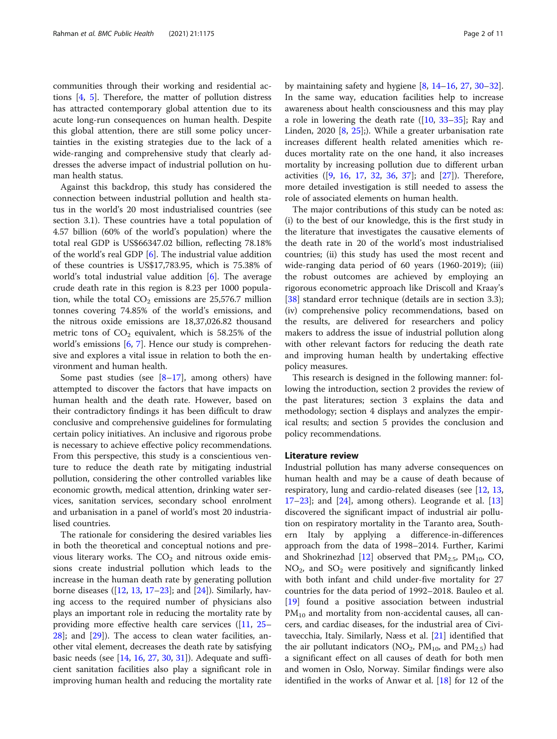communities through their working and residential actions [\[4](#page-8-0), [5\]](#page-8-0). Therefore, the matter of pollution distress has attracted contemporary global attention due to its acute long-run consequences on human health. Despite this global attention, there are still some policy uncertainties in the existing strategies due to the lack of a wide-ranging and comprehensive study that clearly addresses the adverse impact of industrial pollution on human health status.

Against this backdrop, this study has considered the connection between industrial pollution and health status in the world's 20 most industrialised countries (see section 3.1). These countries have a total population of 4.57 billion (60% of the world's population) where the total real GDP is US\$66347.02 billion, reflecting 78.18% of the world's real GDP [\[6](#page-8-0)]. The industrial value addition of these countries is US\$17,783.95, which is 75.38% of world's total industrial value addition [\[6](#page-8-0)]. The average crude death rate in this region is 8.23 per 1000 population, while the total  $CO<sub>2</sub>$  emissions are 25,576.7 million tonnes covering 74.85% of the world's emissions, and the nitrous oxide emissions are 18,37,026.82 thousand metric tons of  $CO<sub>2</sub>$  equivalent, which is 58.25% of the world's emissions  $[6, 7]$  $[6, 7]$  $[6, 7]$  $[6, 7]$ . Hence our study is comprehensive and explores a vital issue in relation to both the environment and human health.

Some past studies (see  $[8-17]$  $[8-17]$  $[8-17]$ , among others) have attempted to discover the factors that have impacts on human health and the death rate. However, based on their contradictory findings it has been difficult to draw conclusive and comprehensive guidelines for formulating certain policy initiatives. An inclusive and rigorous probe is necessary to achieve effective policy recommendations. From this perspective, this study is a conscientious venture to reduce the death rate by mitigating industrial pollution, considering the other controlled variables like economic growth, medical attention, drinking water services, sanitation services, secondary school enrolment and urbanisation in a panel of world's most 20 industrialised countries.

The rationale for considering the desired variables lies in both the theoretical and conceptual notions and previous literary works. The  $CO<sub>2</sub>$  and nitrous oxide emissions create industrial pollution which leads to the increase in the human death rate by generating pollution borne diseases ([\[12,](#page-8-0) [13,](#page-8-0) [17](#page-9-0)–[23\]](#page-9-0); and [\[24](#page-9-0)]). Similarly, having access to the required number of physicians also plays an important role in reducing the mortality rate by providing more effective health care services ([\[11](#page-8-0), [25](#page-9-0)– [28\]](#page-9-0); and [[29\]](#page-9-0)). The access to clean water facilities, another vital element, decreases the death rate by satisfying basic needs (see [\[14,](#page-8-0) [16,](#page-9-0) [27,](#page-9-0) [30,](#page-9-0) [31\]](#page-9-0)). Adequate and sufficient sanitation facilities also play a significant role in improving human health and reducing the mortality rate

by maintaining safety and hygiene  $[8, 14-16, 27, 30-32]$  $[8, 14-16, 27, 30-32]$  $[8, 14-16, 27, 30-32]$  $[8, 14-16, 27, 30-32]$  $[8, 14-16, 27, 30-32]$  $[8, 14-16, 27, 30-32]$  $[8, 14-16, 27, 30-32]$  $[8, 14-16, 27, 30-32]$  $[8, 14-16, 27, 30-32]$  $[8, 14-16, 27, 30-32]$  $[8, 14-16, 27, 30-32]$  $[8, 14-16, 27, 30-32]$ . In the same way, education facilities help to increase awareness about health consciousness and this may play a role in lowering the death rate ([[10,](#page-8-0) [33](#page-9-0)–[35](#page-9-0)]; Ray and Linden, 2020 [\[8](#page-8-0), [25\]](#page-9-0);). While a greater urbanisation rate increases different health related amenities which reduces mortality rate on the one hand, it also increases mortality by increasing pollution due to different urban activities ([\[9](#page-8-0), [16,](#page-9-0) [17,](#page-9-0) [32](#page-9-0), [36](#page-9-0), [37\]](#page-9-0); and [[27\]](#page-9-0)). Therefore, more detailed investigation is still needed to assess the role of associated elements on human health.

The major contributions of this study can be noted as: (i) to the best of our knowledge, this is the first study in the literature that investigates the causative elements of the death rate in 20 of the world's most industrialised countries; (ii) this study has used the most recent and wide-ranging data period of 60 years (1960-2019); (iii) the robust outcomes are achieved by employing an rigorous econometric approach like Driscoll and Kraay's [[38\]](#page-9-0) standard error technique (details are in section 3.3); (iv) comprehensive policy recommendations, based on the results, are delivered for researchers and policy makers to address the issue of industrial pollution along with other relevant factors for reducing the death rate and improving human health by undertaking effective policy measures.

This research is designed in the following manner: following the introduction, section 2 provides the review of the past literatures; section 3 explains the data and methodology; section 4 displays and analyzes the empirical results; and section 5 provides the conclusion and policy recommendations.

#### Literature review

Industrial pollution has many adverse consequences on human health and may be a cause of death because of respiratory, lung and cardio-related diseases (see [\[12](#page-8-0), [13](#page-8-0),  $17-23$  $17-23$  $17-23$ ; and  $[24]$  $[24]$  $[24]$ , among others). Leogrande et al.  $[13]$  $[13]$  $[13]$ discovered the significant impact of industrial air pollution on respiratory mortality in the Taranto area, Southern Italy by applying a difference-in-differences approach from the data of 1998–2014. Further, Karimi and Shokrinezhad [[12\]](#page-8-0) observed that  $PM_{2.5}$ ,  $PM_{10}$ , CO,  $NO<sub>2</sub>$ , and  $SO<sub>2</sub>$  were positively and significantly linked with both infant and child under-five mortality for 27 countries for the data period of 1992–2018. Bauleo et al. [[19\]](#page-9-0) found a positive association between industrial  $PM_{10}$  and mortality from non-accidental causes, all cancers, and cardiac diseases, for the industrial area of Civitavecchia, Italy. Similarly, Næss et al. [\[21](#page-9-0)] identified that the air pollutant indicators ( $NO_2$ ,  $PM_{10}$ , and  $PM_{2,5}$ ) had a significant effect on all causes of death for both men and women in Oslo, Norway. Similar findings were also identified in the works of Anwar et al. [[18\]](#page-9-0) for 12 of the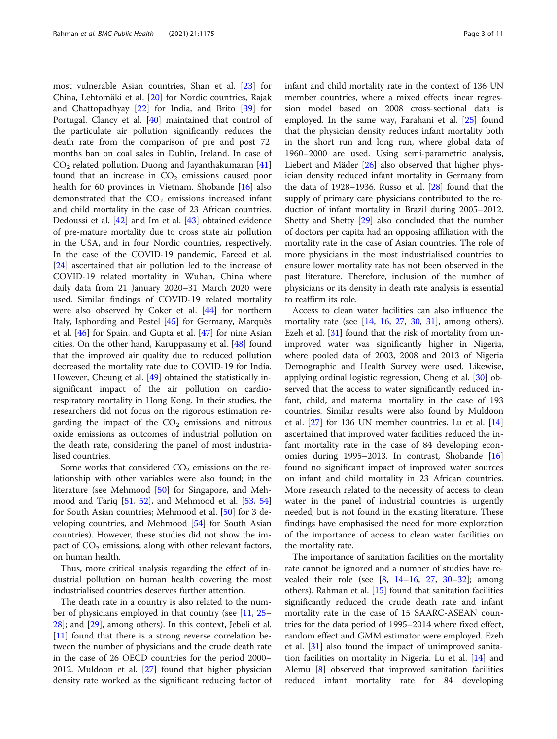most vulnerable Asian countries, Shan et al. [\[23](#page-9-0)] for China, Lehtomäki et al. [[20\]](#page-9-0) for Nordic countries, Rajak and Chattopadhyay [[22\]](#page-9-0) for India, and Brito [\[39](#page-9-0)] for Portugal. Clancy et al. [[40](#page-9-0)] maintained that control of the particulate air pollution significantly reduces the death rate from the comparison of pre and post 72 months ban on coal sales in Dublin, Ireland. In case of  $CO<sub>2</sub>$  related pollution, Duong and Jayanthakumaran [[41](#page-9-0)] found that an increase in  $CO<sub>2</sub>$  emissions caused poor health for 60 provinces in Vietnam. Shobande [[16\]](#page-9-0) also demonstrated that the  $CO<sub>2</sub>$  emissions increased infant and child mortality in the case of 23 African countries. Dedoussi et al. [[42\]](#page-9-0) and Im et al. [\[43\]](#page-9-0) obtained evidence of pre-mature mortality due to cross state air pollution in the USA, and in four Nordic countries, respectively. In the case of the COVID-19 pandemic, Fareed et al. [[24\]](#page-9-0) ascertained that air pollution led to the increase of COVID-19 related mortality in Wuhan, China where daily data from 21 January 2020–31 March 2020 were used. Similar findings of COVID-19 related mortality were also observed by Coker et al. [\[44\]](#page-9-0) for northern Italy, Isphording and Pestel [\[45](#page-9-0)] for Germany, Marquès et al. [[46\]](#page-9-0) for Spain, and Gupta et al. [\[47](#page-9-0)] for nine Asian cities. On the other hand, Karuppasamy et al. [\[48](#page-9-0)] found that the improved air quality due to reduced pollution decreased the mortality rate due to COVID-19 for India. However, Cheung et al. [[49\]](#page-9-0) obtained the statistically insignificant impact of the air pollution on cardiorespiratory mortality in Hong Kong. In their studies, the researchers did not focus on the rigorous estimation regarding the impact of the  $CO<sub>2</sub>$  emissions and nitrous oxide emissions as outcomes of industrial pollution on the death rate, considering the panel of most industrialised countries.

Some works that considered  $CO<sub>2</sub>$  emissions on the relationship with other variables were also found; in the literature (see Mehmood [\[50](#page-9-0)] for Singapore, and Mehmood and Tariq [[51,](#page-9-0) [52\]](#page-9-0), and Mehmood et al. [[53](#page-9-0), [54](#page-9-0)] for South Asian countries; Mehmood et al. [[50\]](#page-9-0) for 3 developing countries, and Mehmood [\[54](#page-9-0)] for South Asian countries). However, these studies did not show the impact of  $CO<sub>2</sub>$  emissions, along with other relevant factors, on human health.

Thus, more critical analysis regarding the effect of industrial pollution on human health covering the most industrialised countries deserves further attention.

The death rate in a country is also related to the number of physicians employed in that country (see [[11](#page-8-0), [25](#page-9-0)– [28\]](#page-9-0); and [\[29](#page-9-0)], among others). In this context, Jebeli et al. [[11\]](#page-8-0) found that there is a strong reverse correlation between the number of physicians and the crude death rate in the case of 26 OECD countries for the period 2000– 2012. Muldoon et al. [[27\]](#page-9-0) found that higher physician density rate worked as the significant reducing factor of infant and child mortality rate in the context of 136 UN member countries, where a mixed effects linear regression model based on 2008 cross-sectional data is employed. In the same way, Farahani et al. [\[25](#page-9-0)] found that the physician density reduces infant mortality both in the short run and long run, where global data of 1960–2000 are used. Using semi-parametric analysis, Liebert and Mäder [\[26\]](#page-9-0) also observed that higher physician density reduced infant mortality in Germany from the data of 1928–1936. Russo et al.  $[28]$  found that the supply of primary care physicians contributed to the reduction of infant mortality in Brazil during 2005–2012. Shetty and Shetty [\[29\]](#page-9-0) also concluded that the number of doctors per capita had an opposing affiliation with the mortality rate in the case of Asian countries. The role of more physicians in the most industrialised countries to ensure lower mortality rate has not been observed in the past literature. Therefore, inclusion of the number of physicians or its density in death rate analysis is essential to reaffirm its role.

Access to clean water facilities can also influence the mortality rate (see  $[14, 16, 27, 30, 31]$  $[14, 16, 27, 30, 31]$  $[14, 16, 27, 30, 31]$  $[14, 16, 27, 30, 31]$  $[14, 16, 27, 30, 31]$  $[14, 16, 27, 30, 31]$  $[14, 16, 27, 30, 31]$  $[14, 16, 27, 30, 31]$  $[14, 16, 27, 30, 31]$  $[14, 16, 27, 30, 31]$ , among others). Ezeh et al. [\[31](#page-9-0)] found that the risk of mortality from unimproved water was significantly higher in Nigeria, where pooled data of 2003, 2008 and 2013 of Nigeria Demographic and Health Survey were used. Likewise, applying ordinal logistic regression, Cheng et al. [[30\]](#page-9-0) observed that the access to water significantly reduced infant, child, and maternal mortality in the case of 193 countries. Similar results were also found by Muldoon et al. [\[27](#page-9-0)] for 136 UN member countries. Lu et al. [[14](#page-8-0)] ascertained that improved water facilities reduced the infant mortality rate in the case of 84 developing economies during 1995–2013. In contrast, Shobande [[16](#page-9-0)] found no significant impact of improved water sources on infant and child mortality in 23 African countries. More research related to the necessity of access to clean water in the panel of industrial countries is urgently needed, but is not found in the existing literature. These findings have emphasised the need for more exploration of the importance of access to clean water facilities on the mortality rate.

The importance of sanitation facilities on the mortality rate cannot be ignored and a number of studies have revealed their role (see  $[8, 14-16, 27, 30-32]$  $[8, 14-16, 27, 30-32]$  $[8, 14-16, 27, 30-32]$  $[8, 14-16, 27, 30-32]$  $[8, 14-16, 27, 30-32]$  $[8, 14-16, 27, 30-32]$  $[8, 14-16, 27, 30-32]$  $[8, 14-16, 27, 30-32]$  $[8, 14-16, 27, 30-32]$  $[8, 14-16, 27, 30-32]$  $[8, 14-16, 27, 30-32]$  $[8, 14-16, 27, 30-32]$  $[8, 14-16, 27, 30-32]$ ; among others). Rahman et al. [[15\]](#page-9-0) found that sanitation facilities significantly reduced the crude death rate and infant mortality rate in the case of 15 SAARC-ASEAN countries for the data period of 1995–2014 where fixed effect, random effect and GMM estimator were employed. Ezeh et al. [\[31](#page-9-0)] also found the impact of unimproved sanitation facilities on mortality in Nigeria. Lu et al. [[14\]](#page-8-0) and Alemu [\[8](#page-8-0)] observed that improved sanitation facilities reduced infant mortality rate for 84 developing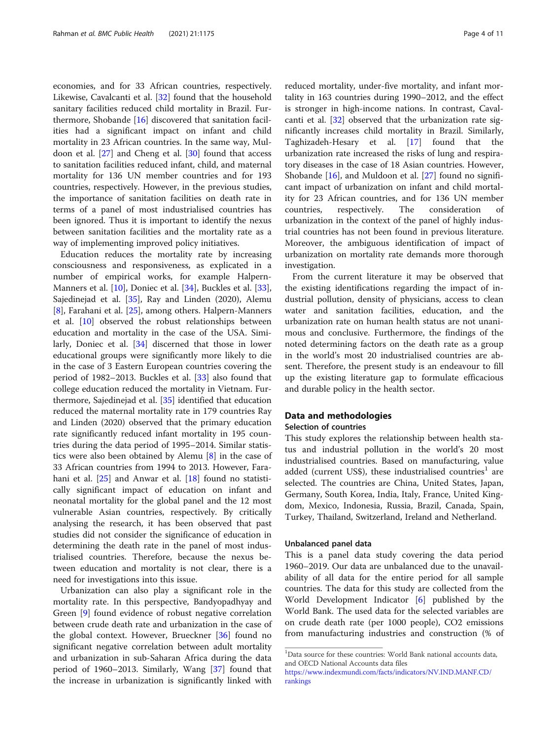economies, and for 33 African countries, respectively. Likewise, Cavalcanti et al. [\[32](#page-9-0)] found that the household sanitary facilities reduced child mortality in Brazil. Furthermore, Shobande [[16\]](#page-9-0) discovered that sanitation facilities had a significant impact on infant and child mortality in 23 African countries. In the same way, Muldoon et al. [[27](#page-9-0)] and Cheng et al. [\[30](#page-9-0)] found that access to sanitation facilities reduced infant, child, and maternal mortality for 136 UN member countries and for 193 countries, respectively. However, in the previous studies, the importance of sanitation facilities on death rate in terms of a panel of most industrialised countries has been ignored. Thus it is important to identify the nexus between sanitation facilities and the mortality rate as a way of implementing improved policy initiatives.

Education reduces the mortality rate by increasing consciousness and responsiveness, as explicated in a number of empirical works, for example Halpern-Manners et al. [[10](#page-8-0)], Doniec et al. [\[34](#page-9-0)], Buckles et al. [\[33](#page-9-0)], Sajedinejad et al. [\[35\]](#page-9-0), Ray and Linden (2020), Alemu [[8\]](#page-8-0), Farahani et al. [[25](#page-9-0)], among others. Halpern-Manners et al. [[10\]](#page-8-0) observed the robust relationships between education and mortality in the case of the USA. Similarly, Doniec et al. [\[34\]](#page-9-0) discerned that those in lower educational groups were significantly more likely to die in the case of 3 Eastern European countries covering the period of 1982–2013. Buckles et al. [[33\]](#page-9-0) also found that college education reduced the mortality in Vietnam. Furthermore, Sajedinejad et al. [\[35](#page-9-0)] identified that education reduced the maternal mortality rate in 179 countries Ray and Linden (2020) observed that the primary education rate significantly reduced infant mortality in 195 countries during the data period of 1995–2014. Similar statistics were also been obtained by Alemu [[8](#page-8-0)] in the case of 33 African countries from 1994 to 2013. However, Farahani et al. [\[25\]](#page-9-0) and Anwar et al. [\[18\]](#page-9-0) found no statistically significant impact of education on infant and neonatal mortality for the global panel and the 12 most vulnerable Asian countries, respectively. By critically analysing the research, it has been observed that past studies did not consider the significance of education in determining the death rate in the panel of most industrialised countries. Therefore, because the nexus between education and mortality is not clear, there is a need for investigations into this issue.

Urbanization can also play a significant role in the mortality rate. In this perspective, Bandyopadhyay and Green [[9\]](#page-8-0) found evidence of robust negative correlation between crude death rate and urbanization in the case of the global context. However, Brueckner [[36\]](#page-9-0) found no significant negative correlation between adult mortality and urbanization in sub-Saharan Africa during the data period of 1960–2013. Similarly, Wang [[37\]](#page-9-0) found that the increase in urbanization is significantly linked with

reduced mortality, under-five mortality, and infant mortality in 163 countries during 1990–2012, and the effect is stronger in high-income nations. In contrast, Cavalcanti et al.  $\left[32\right]$  observed that the urbanization rate significantly increases child mortality in Brazil. Similarly, Taghizadeh-Hesary et al. [\[17\]](#page-9-0) found that the urbanization rate increased the risks of lung and respiratory diseases in the case of 18 Asian countries. However, Shobande [[16\]](#page-9-0), and Muldoon et al. [[27\]](#page-9-0) found no significant impact of urbanization on infant and child mortality for 23 African countries, and for 136 UN member countries, respectively. The consideration of urbanization in the context of the panel of highly industrial countries has not been found in previous literature. Moreover, the ambiguous identification of impact of urbanization on mortality rate demands more thorough investigation.

From the current literature it may be observed that the existing identifications regarding the impact of industrial pollution, density of physicians, access to clean water and sanitation facilities, education, and the urbanization rate on human health status are not unanimous and conclusive. Furthermore, the findings of the noted determining factors on the death rate as a group in the world's most 20 industrialised countries are absent. Therefore, the present study is an endeavour to fill up the existing literature gap to formulate efficacious and durable policy in the health sector.

### Data and methodologies

### Selection of countries

This study explores the relationship between health status and industrial pollution in the world's 20 most industrialised countries. Based on manufacturing, value added (current US\$), these industrialised countries<sup>1</sup> are selected. The countries are China, United States, Japan, Germany, South Korea, India, Italy, France, United Kingdom, Mexico, Indonesia, Russia, Brazil, Canada, Spain, Turkey, Thailand, Switzerland, Ireland and Netherland.

#### Unbalanced panel data

This is a panel data study covering the data period 1960–2019. Our data are unbalanced due to the unavailability of all data for the entire period for all sample countries. The data for this study are collected from the World Development Indicator [\[6](#page-8-0)] published by the World Bank. The used data for the selected variables are on crude death rate (per 1000 people), CO2 emissions from manufacturing industries and construction (% of

<sup>&</sup>lt;sup>1</sup>Data source for these countries: World Bank national accounts data, and OECD National Accounts data files

[https://www.indexmundi.com/facts/indicators/NV.IND.MANF.CD/](https://www.indexmundi.com/facts/indicators/NV.IND.MANF.CD/rankings) [rankings](https://www.indexmundi.com/facts/indicators/NV.IND.MANF.CD/rankings)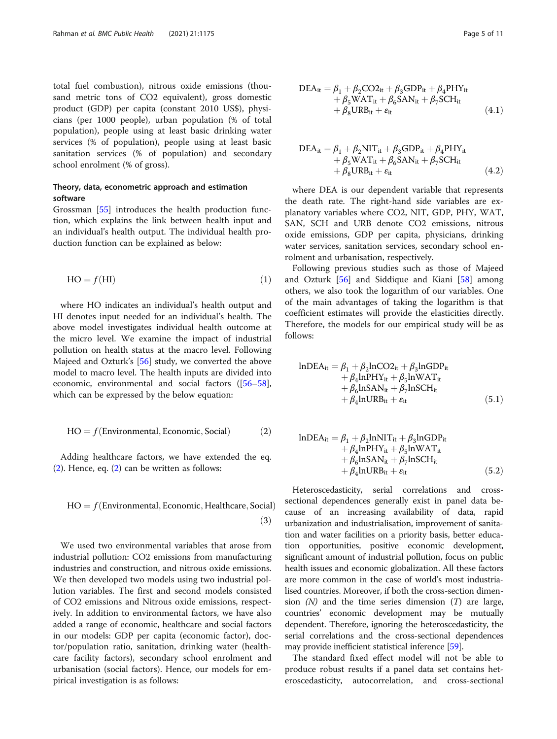<span id="page-4-0"></span>total fuel combustion), nitrous oxide emissions (thousand metric tons of CO2 equivalent), gross domestic product (GDP) per capita (constant 2010 US\$), physicians (per 1000 people), urban population (% of total population), people using at least basic drinking water services (% of population), people using at least basic sanitation services (% of population) and secondary school enrolment (% of gross).

# Theory, data, econometric approach and estimation software

Grossman [\[55\]](#page-10-0) introduces the health production function, which explains the link between health input and an individual's health output. The individual health production function can be explained as below:

$$
HO = f(HI)
$$
 (1)

where HO indicates an individual's health output and HI denotes input needed for an individual's health. The above model investigates individual health outcome at the micro level. We examine the impact of industrial pollution on health status at the macro level. Following Majeed and Ozturk's [\[56](#page-10-0)] study, we converted the above model to macro level. The health inputs are divided into economic, environmental and social factors ([[56](#page-10-0)–[58](#page-10-0)], which can be expressed by the below equation:

$$
HO = f(Environmental, Economic, Social)
$$
 (2)

Adding healthcare factors, we have extended the eq. (2). Hence, eq. (2) can be written as follows:

$$
HO = f(Environmental, Economic, Healthcare, Social)
$$
\n(3)

We used two environmental variables that arose from industrial pollution: CO2 emissions from manufacturing industries and construction, and nitrous oxide emissions. We then developed two models using two industrial pollution variables. The first and second models consisted of CO2 emissions and Nitrous oxide emissions, respectively. In addition to environmental factors, we have also added a range of economic, healthcare and social factors in our models: GDP per capita (economic factor), doctor/population ratio, sanitation, drinking water (healthcare facility factors), secondary school enrolment and urbanisation (social factors). Hence, our models for empirical investigation is as follows:

$$
DEA_{it} = \beta_1 + \beta_2 CO2_{it} + \beta_3 GDP_{it} + \beta_4 PHY_{it}
$$
  
+  $\beta_5 WAT_{it} + \beta_6 SAM_{it} + \beta_7 SCH_{it}$   
+  $\beta_8 URB_{it} + \varepsilon_{it}$  (4.1)

$$
DEA_{it} = \beta_1 + \beta_2 NIT_{it} + \beta_3 GDP_{it} + \beta_4 PHY_{it} + \beta_5 WAT_{it} + \beta_6 SAN_{it} + \beta_7 SCH_{it} + \beta_8 URB_{it} + \varepsilon_{it}
$$
\n(4.2)

where DEA is our dependent variable that represents the death rate. The right-hand side variables are explanatory variables where CO2, NIT, GDP, PHY, WAT, SAN, SCH and URB denote CO2 emissions, nitrous oxide emissions, GDP per capita, physicians, drinking water services, sanitation services, secondary school enrolment and urbanisation, respectively.

Following previous studies such as those of Majeed and Ozturk [[56](#page-10-0)] and Siddique and Kiani [\[58](#page-10-0)] among others, we also took the logarithm of our variables. One of the main advantages of taking the logarithm is that coefficient estimates will provide the elasticities directly. Therefore, the models for our empirical study will be as follows:

$$
InDEAit = \beta_1 + \beta_2 InCO2it + \beta_3 InGDPit+ \beta_4 InPHYit + \beta_5 InWATit+ \beta_6 InSANit + \beta_7 InSCHit+ \beta_4 InURBit + \varepsilonit
$$
 (5.1)

$$
InDEAit = \beta_1 + \beta_2 lnNITit + \beta_3 lnGDPit+ \beta_4 lnPHYit + \beta_5 lnWATit+ \beta_6 lnSANit + \beta_7 lnSCHit+ \beta_4 lnURBit + \varepsilonit
$$
 (5.2)

Heteroscedasticity, serial correlations and crosssectional dependences generally exist in panel data because of an increasing availability of data, rapid urbanization and industrialisation, improvement of sanitation and water facilities on a priority basis, better education opportunities, positive economic development, significant amount of industrial pollution, focus on public health issues and economic globalization. All these factors are more common in the case of world's most industrialised countries. Moreover, if both the cross-section dimension  $(N)$  and the time series dimension  $(T)$  are large, countries' economic development may be mutually dependent. Therefore, ignoring the heteroscedasticity, the serial correlations and the cross-sectional dependences may provide inefficient statistical inference [\[59\]](#page-10-0).

The standard fixed effect model will not be able to produce robust results if a panel data set contains heteroscedasticity, autocorrelation, and cross-sectional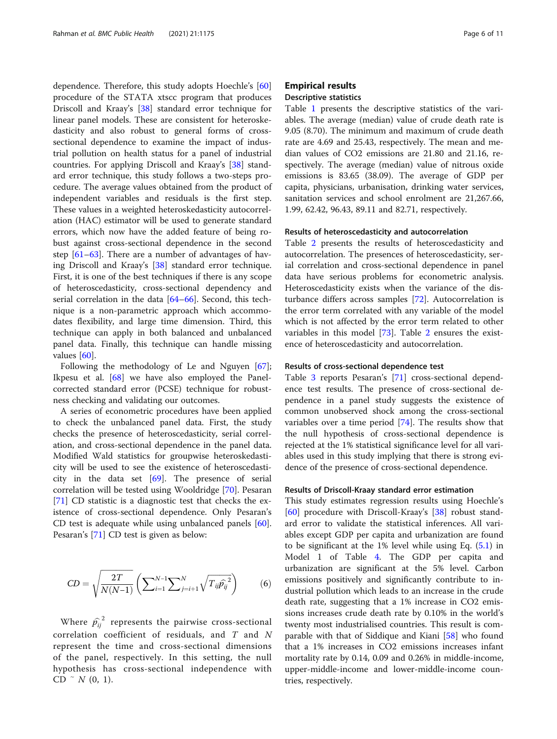dependence. Therefore, this study adopts Hoechle's [[60](#page-10-0)] procedure of the STATA xtscc program that produces Driscoll and Kraay's [\[38](#page-9-0)] standard error technique for linear panel models. These are consistent for heteroskedasticity and also robust to general forms of crosssectional dependence to examine the impact of industrial pollution on health status for a panel of industrial countries. For applying Driscoll and Kraay's [\[38\]](#page-9-0) standard error technique, this study follows a two-steps procedure. The average values obtained from the product of independent variables and residuals is the first step. These values in a weighted heteroskedasticity autocorrelation (HAC) estimator will be used to generate standard errors, which now have the added feature of being robust against cross-sectional dependence in the second step [[61](#page-10-0)–[63\]](#page-10-0). There are a number of advantages of having Driscoll and Kraay's [\[38\]](#page-9-0) standard error technique. First, it is one of the best techniques if there is any scope of heteroscedasticity, cross-sectional dependency and serial correlation in the data [[64](#page-10-0)–[66](#page-10-0)]. Second, this technique is a non-parametric approach which accommodates flexibility, and large time dimension. Third, this technique can apply in both balanced and unbalanced panel data. Finally, this technique can handle missing values [[60\]](#page-10-0).

Following the methodology of Le and Nguyen [\[67](#page-10-0)]; Ikpesu et al. [\[68\]](#page-10-0) we have also employed the Panelcorrected standard error (PCSE) technique for robustness checking and validating our outcomes.

A series of econometric procedures have been applied to check the unbalanced panel data. First, the study checks the presence of heteroscedasticity, serial correlation, and cross-sectional dependence in the panel data. Modified Wald statistics for groupwise heteroskedasticity will be used to see the existence of heteroscedasticity in the data set [[69\]](#page-10-0). The presence of serial correlation will be tested using Wooldridge [[70\]](#page-10-0). Pesaran [[71\]](#page-10-0) CD statistic is a diagnostic test that checks the existence of cross-sectional dependence. Only Pesaran's CD test is adequate while using unbalanced panels [\[60](#page-10-0)]. Pesaran's [\[71\]](#page-10-0) CD test is given as below:

$$
CD = \sqrt{\frac{2T}{N(N-1)}} \left( \sum_{i=1}^{N-1} \sum_{j=i+1}^{N} \sqrt{T_{ij} \hat{p}_{ij}^2} \right)
$$
 (6)

ffiffiffiffiffiffiffiffiffiffiffiffiffiffiffiffiffi

Where  $\widehat{p_{ij}}^2$  represents the pairwise cross-sectional correlation coefficient of residuals, and  $T$  and  $N$ represent the time and cross-sectional dimensions of the panel, respectively. In this setting, the null hypothesis has cross-sectional independence with  $CD \tilde{N}(0, 1).$ 

# Empirical results Descriptive statistics

Table [1](#page-6-0) presents the descriptive statistics of the variables. The average (median) value of crude death rate is 9.05 (8.70). The minimum and maximum of crude death rate are 4.69 and 25.43, respectively. The mean and median values of CO2 emissions are 21.80 and 21.16, respectively. The average (median) value of nitrous oxide emissions is 83.65 (38.09). The average of GDP per capita, physicians, urbanisation, drinking water services, sanitation services and school enrolment are 21,267.66, 1.99, 62.42, 96.43, 89.11 and 82.71, respectively.

#### Results of heteroscedasticity and autocorrelation

Table [2](#page-6-0) presents the results of heteroscedasticity and autocorrelation. The presences of heteroscedasticity, serial correlation and cross-sectional dependence in panel data have serious problems for econometric analysis. Heteroscedasticity exists when the variance of the disturbance differs across samples [[72](#page-10-0)]. Autocorrelation is the error term correlated with any variable of the model which is not affected by the error term related to other variables in this model [\[73](#page-10-0)]. Table [2](#page-6-0) ensures the existence of heteroscedasticity and autocorrelation.

#### Results of cross-sectional dependence test

Table [3](#page-7-0) reports Pesaran's [\[71\]](#page-10-0) cross-sectional dependence test results. The presence of cross-sectional dependence in a panel study suggests the existence of common unobserved shock among the cross-sectional variables over a time period [\[74](#page-10-0)]. The results show that the null hypothesis of cross-sectional dependence is rejected at the 1% statistical significance level for all variables used in this study implying that there is strong evidence of the presence of cross-sectional dependence.

#### Results of Driscoll-Kraay standard error estimation

This study estimates regression results using Hoechle's [[60\]](#page-10-0) procedure with Driscoll-Kraay's [\[38](#page-9-0)] robust standard error to validate the statistical inferences. All variables except GDP per capita and urbanization are found to be significant at the 1% level while using Eq. ([5.1\)](#page-4-0) in Model 1 of Table [4.](#page-7-0) The GDP per capita and urbanization are significant at the 5% level. Carbon emissions positively and significantly contribute to industrial pollution which leads to an increase in the crude death rate, suggesting that a 1% increase in CO2 emissions increases crude death rate by 0.10% in the world's twenty most industrialised countries. This result is comparable with that of Siddique and Kiani [\[58\]](#page-10-0) who found that a 1% increases in CO2 emissions increases infant mortality rate by 0.14, 0.09 and 0.26% in middle-income, upper-middle-income and lower-middle-income countries, respectively.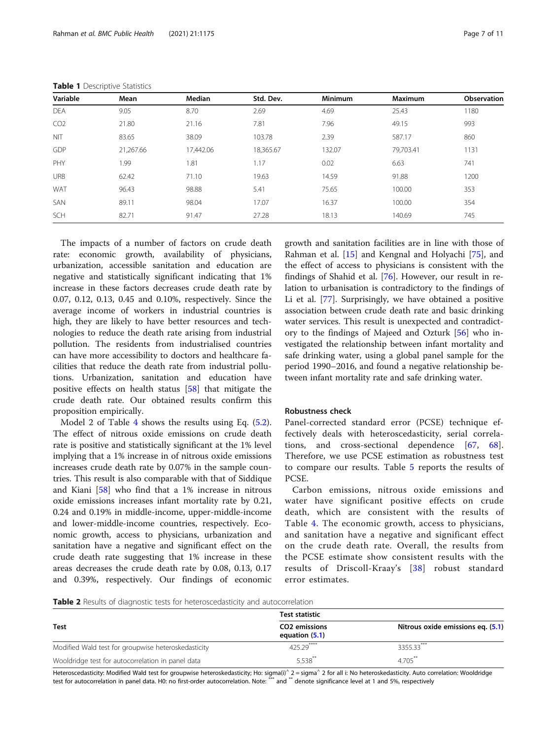| Variable        | Mean      | Median    | Std. Dev. | <b>Minimum</b> | <b>Maximum</b> | <b>Observation</b> |
|-----------------|-----------|-----------|-----------|----------------|----------------|--------------------|
| <b>DEA</b>      | 9.05      | 8.70      | 2.69      | 4.69           | 25.43          | 1180               |
| CO <sub>2</sub> | 21.80     | 21.16     | 7.81      | 7.96           | 49.15          | 993                |
| <b>NIT</b>      | 83.65     | 38.09     | 103.78    | 2.39           | 587.17         | 860                |
| GDP             | 21.267.66 | 17,442.06 | 18,365.67 | 132.07         | 79,703.41      | 1131               |
| PHY             | 1.99      | 1.81      | 1.17      | 0.02           | 6.63           | 741                |
| <b>URB</b>      | 62.42     | 71.10     | 19.63     | 14.59          | 91.88          | 1200               |
| WAT             | 96.43     | 98.88     | 5.41      | 75.65          | 100.00         | 353                |
| SAN             | 89.11     | 98.04     | 17.07     | 16.37          | 100.00         | 354                |
| SCH             | 82.71     | 91.47     | 27.28     | 18.13          | 140.69         | 745                |

<span id="page-6-0"></span>

The impacts of a number of factors on crude death rate: economic growth, availability of physicians, urbanization, accessible sanitation and education are negative and statistically significant indicating that 1% increase in these factors decreases crude death rate by 0.07, 0.12, 0.13, 0.45 and 0.10%, respectively. Since the average income of workers in industrial countries is high, they are likely to have better resources and technologies to reduce the death rate arising from industrial pollution. The residents from industrialised countries can have more accessibility to doctors and healthcare facilities that reduce the death rate from industrial pollutions. Urbanization, sanitation and education have positive effects on health status [[58\]](#page-10-0) that mitigate the crude death rate. Our obtained results confirm this proposition empirically.

Model 2 of Table [4](#page-7-0) shows the results using Eq. [\(5.2](#page-4-0)). The effect of nitrous oxide emissions on crude death rate is positive and statistically significant at the 1% level implying that a 1% increase in of nitrous oxide emissions increases crude death rate by 0.07% in the sample countries. This result is also comparable with that of Siddique and Kiani [[58](#page-10-0)] who find that a 1% increase in nitrous oxide emissions increases infant mortality rate by 0.21, 0.24 and 0.19% in middle-income, upper-middle-income and lower-middle-income countries, respectively. Economic growth, access to physicians, urbanization and sanitation have a negative and significant effect on the crude death rate suggesting that 1% increase in these areas decreases the crude death rate by 0.08, 0.13, 0.17 and 0.39%, respectively. Our findings of economic

growth and sanitation facilities are in line with those of Rahman et al. [[15\]](#page-9-0) and Kengnal and Holyachi [[75](#page-10-0)], and the effect of access to physicians is consistent with the findings of Shahid et al. [[76](#page-10-0)]. However, our result in relation to urbanisation is contradictory to the findings of Li et al. [[77](#page-10-0)]. Surprisingly, we have obtained a positive association between crude death rate and basic drinking water services. This result is unexpected and contradictory to the findings of Majeed and Ozturk [[56\]](#page-10-0) who investigated the relationship between infant mortality and safe drinking water, using a global panel sample for the period 1990–2016, and found a negative relationship between infant mortality rate and safe drinking water.

#### Robustness check

Panel-corrected standard error (PCSE) technique effectively deals with heteroscedasticity, serial correlations, and cross-sectional dependence [\[67](#page-10-0), [68](#page-10-0)]. Therefore, we use PCSE estimation as robustness test to compare our results. Table [5](#page-7-0) reports the results of PCSE.

Carbon emissions, nitrous oxide emissions and water have significant positive effects on crude death, which are consistent with the results of Table [4](#page-7-0). The economic growth, access to physicians, and sanitation have a negative and significant effect on the crude death rate. Overall, the results from the PCSE estimate show consistent results with the results of Driscoll-Kraay's [[38\]](#page-9-0) robust standard error estimates.

Table 2 Results of diagnostic tests for heteroscedasticity and autocorrelation

|                                                     | <b>Test statistic</b>                       |                                   |  |
|-----------------------------------------------------|---------------------------------------------|-----------------------------------|--|
| <b>Test</b>                                         | CO <sub>2</sub> emissions<br>equation (5.1) | Nitrous oxide emissions eq. (5.1) |  |
| Modified Wald test for groupwise heteroskedasticity | 425.29****                                  | 3355.33***                        |  |
| Wooldridge test for autocorrelation in panel data   | $5.538$ **                                  | 4.705**                           |  |

Heteroscedasticity: Modified Wald test for groupwise heteroskedasticity; Ho: sigma(i)^ 2 = sigma^ 2 for all i: No heteroskedasticity. Auto correlation: Wooldridge test for autocorrelation in panel data. H0: no first-order autocorrelation. Note: \*\*\* and \*\* denote significance level at 1 and 5%, respectively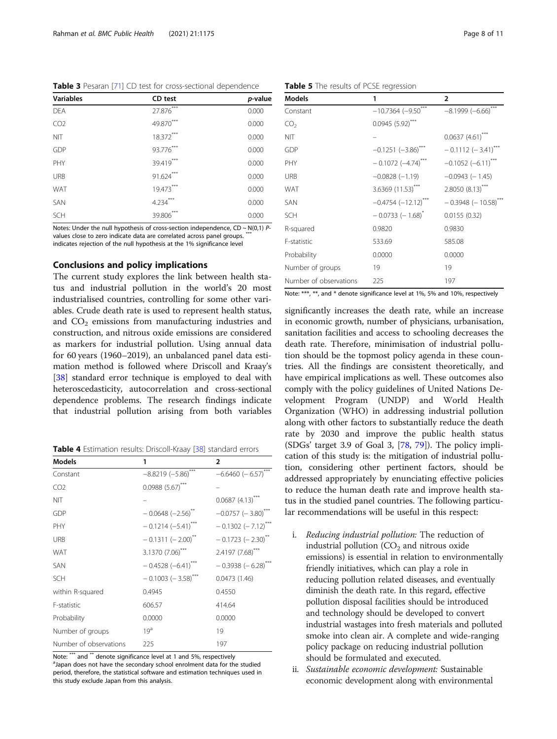<span id="page-7-0"></span>Table 3 Pesaran [[71](#page-10-0)] CD test for cross-sectional dependence

| <b>Variables</b> | CD test     | p-value |
|------------------|-------------|---------|
| <b>DEA</b>       | $27.876***$ | 0.000   |
| CO <sub>2</sub>  | 49.870***   | 0.000   |
| <b>NIT</b>       | $18.372***$ | 0.000   |
| GDP              | 93.776***   | 0.000   |
| PHY              | 39.419***   | 0.000   |
| <b>URB</b>       | $91.624***$ | 0.000   |
| <b>WAT</b>       | $19.473***$ | 0.000   |
| <b>SAN</b>       | $4.234***$  | 0.000   |
| <b>SCH</b>       | 39.806***   | 0.000   |

Notes: Under the null hypothesis of cross-section independence,  $CD \sim N(0,1)$  Pvalues close to zero indicate data are correlated across panel groups. indicates rejection of the null hypothesis at the 1% significance level

#### Conclusions and policy implications

The current study explores the link between health status and industrial pollution in the world's 20 most industrialised countries, controlling for some other variables. Crude death rate is used to represent health status, and  $CO<sub>2</sub>$  emissions from manufacturing industries and construction, and nitrous oxide emissions are considered as markers for industrial pollution. Using annual data for 60 years (1960–2019), an unbalanced panel data estimation method is followed where Driscoll and Kraay's [[38\]](#page-9-0) standard error technique is employed to deal with heteroscedasticity, autocorrelation and cross-sectional dependence problems. The research findings indicate that industrial pollution arising from both variables

Table 4 Estimation results: Driscoll-Kraay [[38\]](#page-9-0) standard errors

| <b>Models</b>          | 1                                    | $\overline{\phantom{a}}$         |
|------------------------|--------------------------------------|----------------------------------|
| Constant               | $-8.8219 (-5.86)$ ***                | $-6.6460 (-6.57)$                |
| CO <sub>2</sub>        | $0.0988(5.67)$ ***                   |                                  |
| <b>NIT</b>             |                                      | $0.0687(4.13)$ ***               |
| GDP                    | $-0.0648 (-2.56)^{**}$               | $-0.0757$ (-3.80) <sup>***</sup> |
| PHY                    | $-0.1214 (-5.41)^{***}$              | $-0.1302 (-7.12)$ ***            |
| <b>URB</b>             | $-0.1311 (-2.00)^{**}$               | $-0.1723 (-2.30)^{**}$           |
| WAT                    | $3.1370(7.06)$ ***                   | 2.4197(7.68)                     |
| SAN                    | $-0.4528(-6.41)$                     | $-0.3938(-6.28)^{**}$            |
| <b>SCH</b>             | $-0.1003$ ( $-3.58$ ) <sup>***</sup> | 0.0473(1.46)                     |
| within R-squared       | 0.4945                               | 0.4550                           |
| F-statistic            | 606.57                               | 414.64                           |
| Probability            | 0.0000                               | 0.0000                           |
| Number of groups       | 19 <sup>a</sup>                      | 19                               |
| Number of observations | 225                                  | 197                              |

Note: \*\*\* and \*\* denote significance level at 1 and 5%, respectively <sup>a</sup>Japan does not have the secondary school enrolment data for the studied period, therefore, the statistical software and estimation techniques used in this study exclude Japan from this analysis.

Table 5 The results of PCSE regression

| Models                 | 1                        | $\overline{2}$                    |
|------------------------|--------------------------|-----------------------------------|
| Constant               | $-10.7364$ $(-9.50)$     | $-8.1999(-6.66)$                  |
| CO <sub>2</sub>        | $0.0945(5.92)$ ***       |                                   |
| ΝIΤ                    |                          | $0.0637(4.61)$ ***                |
| GDP                    | $-0.1251(-3.86)$ ***     | $-0.1112 (-3.41)^{44}$            |
| PHY                    | $-0.1072(-4.74)^{***}$   | $-0.1052(-6.11)$                  |
| <b>URB</b>             | $-0.0828(-1.19)$         | $-0.0943$ ( $-1.45$ )             |
| WAT                    | 3.6369 (11.53)***        | $2.8050(8.13)$ <sup>***</sup>     |
| SAN                    | $-0.4754 (-12.12)^{***}$ | $-0.3948$ (-10.58) <sup>***</sup> |
| SCH                    | $-0.0733(-1.68)^{*}$     | 0.0155(0.32)                      |
| R-squared              | 0.9820                   | 0.9830                            |
| F-statistic            | 533.69                   | 585.08                            |
| Probability            | 0.0000                   | 0.0000                            |
| Number of groups       | 19                       | 19                                |
| Number of observations | 225                      | 197                               |

Note: \*\*\*, \*\*, and \* denote significance level at 1%, 5% and 10%, respectively

significantly increases the death rate, while an increase in economic growth, number of physicians, urbanisation, sanitation facilities and access to schooling decreases the death rate. Therefore, minimisation of industrial pollution should be the topmost policy agenda in these countries. All the findings are consistent theoretically, and have empirical implications as well. These outcomes also comply with the policy guidelines of United Nations Development Program (UNDP) and World Health Organization (WHO) in addressing industrial pollution along with other factors to substantially reduce the death rate by 2030 and improve the public health status (SDGs' target 3.9 of Goal 3, [\[78](#page-10-0), [79\]](#page-10-0)). The policy implication of this study is: the mitigation of industrial pollution, considering other pertinent factors, should be addressed appropriately by enunciating effective policies to reduce the human death rate and improve health status in the studied panel countries. The following particular recommendations will be useful in this respect:

- i. Reducing industrial pollution: The reduction of industrial pollution  $(CO<sub>2</sub>)$  and nitrous oxide emissions) is essential in relation to environmentally friendly initiatives, which can play a role in reducing pollution related diseases, and eventually diminish the death rate. In this regard, effective pollution disposal facilities should be introduced and technology should be developed to convert industrial wastages into fresh materials and polluted smoke into clean air. A complete and wide-ranging policy package on reducing industrial pollution should be formulated and executed.
- ii. Sustainable economic development: Sustainable economic development along with environmental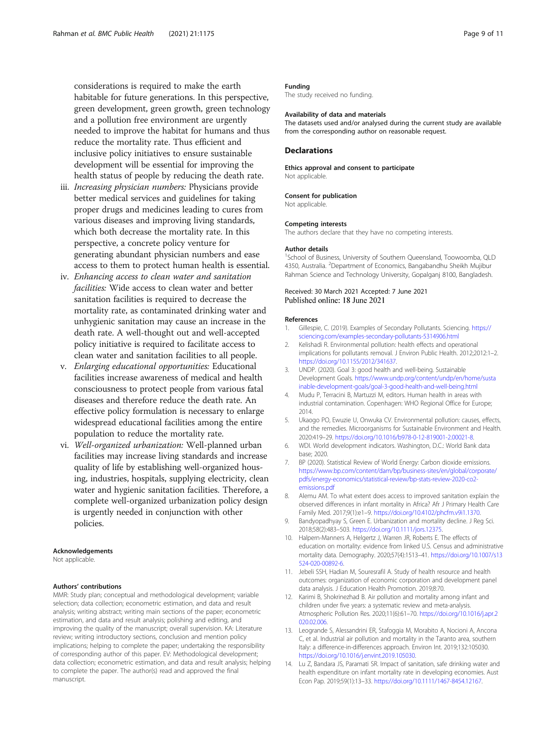<span id="page-8-0"></span>considerations is required to make the earth habitable for future generations. In this perspective, green development, green growth, green technology and a pollution free environment are urgently needed to improve the habitat for humans and thus reduce the mortality rate. Thus efficient and inclusive policy initiatives to ensure sustainable development will be essential for improving the health status of people by reducing the death rate.

- iii. Increasing physician numbers: Physicians provide better medical services and guidelines for taking proper drugs and medicines leading to cures from various diseases and improving living standards, which both decrease the mortality rate. In this perspective, a concrete policy venture for generating abundant physician numbers and ease access to them to protect human health is essential.
- iv. Enhancing access to clean water and sanitation facilities: Wide access to clean water and better sanitation facilities is required to decrease the mortality rate, as contaminated drinking water and unhygienic sanitation may cause an increase in the death rate. A well-thought out and well-accepted policy initiative is required to facilitate access to clean water and sanitation facilities to all people.
- v. Enlarging educational opportunities: Educational facilities increase awareness of medical and health consciousness to protect people from various fatal diseases and therefore reduce the death rate. An effective policy formulation is necessary to enlarge widespread educational facilities among the entire population to reduce the mortality rate.
- vi. Well-organized urbanization: Well-planned urban facilities may increase living standards and increase quality of life by establishing well-organized housing, industries, hospitals, supplying electricity, clean water and hygienic sanitation facilities. Therefore, a complete well-organized urbanization policy design is urgently needed in conjunction with other policies.

#### Acknowledgements

Not applicable.

#### Authors' contributions

MMR: Study plan; conceptual and methodological development; variable selection; data collection; econometric estimation, and data and result analysis; writing abstract; writing main sections of the paper; econometric estimation, and data and result analysis; polishing and editing, and improving the quality of the manuscript; overall supervision. KA: Literature review; writing introductory sections, conclusion and mention policy implications; helping to complete the paper; undertaking the responsibility of corresponding author of this paper. EV: Methodological development; data collection; econometric estimation, and data and result analysis; helping to complete the paper. The author(s) read and approved the final manuscript.

#### Funding

The study received no funding.

#### Availability of data and materials

The datasets used and/or analysed during the current study are available from the corresponding author on reasonable request.

### **Declarations**

#### Ethics approval and consent to participate Not applicable.

#### Consent for publication

Not applicable.

#### Competing interests

The authors declare that they have no competing interests.

#### Author details

<sup>1</sup>School of Business, University of Southern Queensland, Toowoomba, QLD 4350, Australia. <sup>2</sup>Department of Economics, Bangabandhu Sheikh Mujibur Rahman Science and Technology University, Gopalganj 8100, Bangladesh.

### Received: 30 March 2021 Accepted: 7 June 2021 Published online: 18 June 2021

#### References

- 1. Gillespie, C. (2019). Examples of Secondary Pollutants. Sciencing. [https://](https://sciencing.com/examples-secondary-pollutants-5314906.html) [sciencing.com/examples-secondary-pollutants-5314906.html](https://sciencing.com/examples-secondary-pollutants-5314906.html)
- 2. Kelishadi R. Environmental pollution: health effects and operational implications for pollutants removal. J Environ Public Health. 2012;2012:1–2. <https://doi.org/10.1155/2012/341637>.
- 3. UNDP. (2020). Goal 3: good health and well-being. Sustainable Development Goals. [https://www.undp.org/content/undp/en/home/susta](https://www.undp.org/content/undp/en/home/sustainable-development-goals/goal-3-good-health-and-well-being.html) [inable-development-goals/goal-3-good-health-and-well-being.html](https://www.undp.org/content/undp/en/home/sustainable-development-goals/goal-3-good-health-and-well-being.html)
- 4. Mudu P, Terracini B, Martuzzi M, editors. Human health in areas with industrial contamination. Copenhagen: WHO Regional Office for Europe; 2014.
- 5. Ukaogo PO, Ewuzie U, Onwuka CV. Environmental pollution: causes, effects, and the remedies. Microorganisms for Sustainable Environment and Health. 2020:419–29. [https://doi.org/10.1016/b978-0-12-819001-2.00021-8.](https://doi.org/10.1016/b978-0-12-819001-2.00021-8)
- 6. WDI. World development indicators. Washington, D.C.: World Bank data base; 2020.
- 7. BP (2020). Statistical Review of World Energy: Carbon dioxide emissions. [https://www.bp.com/content/dam/bp/business-sites/en/global/corporate/](https://www.bp.com/content/dam/bp/business-sites/en/global/corporate/pdfs/energy-economics/statistical-review/bp-stats-review-2020-co2-emissions.pdf) [pdfs/energy-economics/statistical-review/bp-stats-review-2020-co2](https://www.bp.com/content/dam/bp/business-sites/en/global/corporate/pdfs/energy-economics/statistical-review/bp-stats-review-2020-co2-emissions.pdf) [emissions.pdf](https://www.bp.com/content/dam/bp/business-sites/en/global/corporate/pdfs/energy-economics/statistical-review/bp-stats-review-2020-co2-emissions.pdf)
- 8. Alemu AM. To what extent does access to improved sanitation explain the observed differences in infant mortality in Africa? Afr J Primary Health Care Family Med. 2017;9(1):e1–9. <https://doi.org/10.4102/phcfm.v9i1.1370>.
- 9. Bandyopadhyay S, Green E. Urbanization and mortality decline. J Reg Sci. 2018;58(2):483–503. <https://doi.org/10.1111/jors.12375>.
- 10. Halpern-Manners A, Helgertz J, Warren JR, Roberts E. The effects of education on mortality: evidence from linked U.S. Census and administrative mortality data. Demography. 2020;57(4):1513–41. [https://doi.org/10.1007/s13](https://doi.org/10.1007/s13524-020-00892-6) [524-020-00892-6.](https://doi.org/10.1007/s13524-020-00892-6)
- 11. Jebeli SSH, Hadian M, Souresrafil A. Study of health resource and health outcomes: organization of economic corporation and development panel data analysis. J Education Health Promotion. 2019;8:70.
- 12. Karimi B, Shokrinezhad B. Air pollution and mortality among infant and children under five years: a systematic review and meta-analysis. Atmospheric Pollution Res. 2020;11(6):61–70. [https://doi.org/10.1016/j.apr.2](https://doi.org/10.1016/j.apr.2020.02.006) [020.02.006](https://doi.org/10.1016/j.apr.2020.02.006).
- 13. Leogrande S, Alessandrini ER, Stafoggia M, Morabito A, Nocioni A, Ancona C, et al. Industrial air pollution and mortality in the Taranto area, southern Italy: a difference-in-differences approach. Environ Int. 2019;132:105030. [https://doi.org/10.1016/j.envint.2019.105030.](https://doi.org/10.1016/j.envint.2019.105030)
- 14. Lu Z, Bandara JS, Paramati SR. Impact of sanitation, safe drinking water and health expenditure on infant mortality rate in developing economies. Aust Econ Pap. 2019;59(1):13–33. <https://doi.org/10.1111/1467-8454.12167>.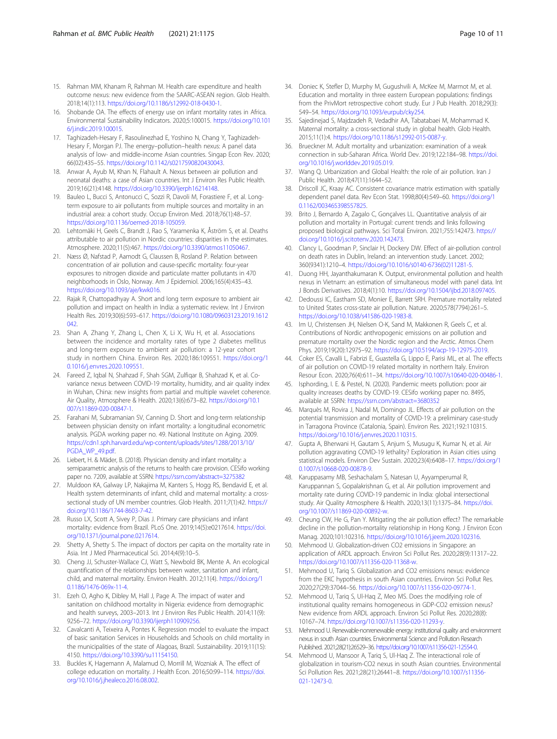- <span id="page-9-0"></span>15. Rahman MM, Khanam R, Rahman M. Health care expenditure and health outcome nexus: new evidence from the SAARC-ASEAN region. Glob Health. 2018;14(1):113. [https://doi.org/10.1186/s12992-018-0430-1.](https://doi.org/10.1186/s12992-018-0430-1)
- 16. Shobande OA. The effects of energy use on infant mortality rates in Africa. Environmental Sustainability Indicators. 2020;5:100015. [https://doi.org/10.101](https://doi.org/10.1016/j.indic.2019.100015) [6/j.indic.2019.100015](https://doi.org/10.1016/j.indic.2019.100015).
- 17. Taghizadeh-Hesary F, Rasoulinezhad E, Yoshino N, Chang Y, Taghizadeh-Hesary F, Morgan PJ. The energy–pollution–health nexus: A panel data analysis of low- and middle-income Asian countries. Singap Econ Rev. 2020; 66(02):435–55. [https://doi.org/10.1142/s0217590820430043.](https://doi.org/10.1142/s0217590820430043)
- 18. Anwar A, Ayub M, Khan N, Flahault A. Nexus between air pollution and neonatal deaths: a case of Asian countries. Int J Environ Res Public Health. 2019;16(21):4148. [https://doi.org/10.3390/ijerph16214148.](https://doi.org/10.3390/ijerph16214148)
- 19. Bauleo L, Bucci S, Antonucci C, Sozzi R, Davoli M, Forastiere F, et al. Longterm exposure to air pollutants from multiple sources and mortality in an industrial area: a cohort study. Occup Environ Med. 2018;76(1):48–57. <https://doi.org/10.1136/oemed-2018-105059>.
- 20. Lehtomäki H, Geels C, Brandt J, Rao S, Yaramenka K, Åström S, et al. Deaths attributable to air pollution in Nordic countries: disparities in the estimates. Atmosphere. 2020;11(5):467. [https://doi.org/10.3390/atmos11050467.](https://doi.org/10.3390/atmos11050467)
- 21. Næss Ø, Nafstad P, Aamodt G, Claussen B, Rosland P. Relation between concentration of air pollution and cause-specific mortality: four-year exposures to nitrogen dioxide and particulate matter pollutants in 470 neighborhoods in Oslo, Norway. Am J Epidemiol. 2006;165(4):435–43. [https://doi.org/10.1093/aje/kwk016.](https://doi.org/10.1093/aje/kwk016)
- 22. Rajak R, Chattopadhyay A. Short and long term exposure to ambient air pollution and impact on health in India: a systematic review. Int J Environ Health Res. 2019;30(6):593–617. [https://doi.org/10.1080/09603123.2019.1612](https://doi.org/10.1080/09603123.2019.1612042)  $042$
- 23. Shan A, Zhang Y, Zhang L, Chen X, Li X, Wu H, et al. Associations between the incidence and mortality rates of type 2 diabetes mellitus and long-term exposure to ambient air pollution: a 12-year cohort study in northern China. Environ Res. 2020;186:109551. [https://doi.org/1](https://doi.org/10.1016/j.envres.2020.109551) [0.1016/j.envres.2020.109551](https://doi.org/10.1016/j.envres.2020.109551).
- 24. Fareed Z, Iqbal N, Shahzad F, Shah SGM, Zulfiqar B, Shahzad K, et al. Covariance nexus between COVID-19 mortality, humidity, and air quality index in Wuhan, China: new insights from partial and multiple wavelet coherence. Air Quality, Atmosphere & Health. 2020;13(6):673–82. [https://doi.org/10.1](https://doi.org/10.1007/s11869-020-00847-1) [007/s11869-020-00847-1.](https://doi.org/10.1007/s11869-020-00847-1)
- 25. Farahani M, Subramanian SV, Canning D. Short and long-term relationship between physician density on infant mortality: a longitudinal econometric analysis. PGDA working paper no. 49. National Institute on Aging. 2009. [https://cdn1.sph.harvard.edu/wp-content/uploads/sites/1288/2013/10/](https://cdn1.sph.harvard.edu/wp-content/uploads/sites/1288/2013/10/PGDA_WP_49.pdf) [PGDA\\_WP\\_49.pdf](https://cdn1.sph.harvard.edu/wp-content/uploads/sites/1288/2013/10/PGDA_WP_49.pdf).
- 26. Liebert, H. & Mäder, B. (2018). Physician density and infant mortality: a semiparametric analysis of the returns to health care provision. CESifo working paper no. 7209, available at SSRN: <https://ssrn.com/abstract=3275382>
- 27. Muldoon KA, Galway LP, Nakajima M, Kanters S, Hogg RS, Bendavid E, et al. Health system determinants of infant, child and maternal mortality: a crosssectional study of UN member countries. Glob Health. 2011;7(1):42. [https://](https://doi.org/10.1186/1744-8603-7-42) [doi.org/10.1186/1744-8603-7-42](https://doi.org/10.1186/1744-8603-7-42).
- 28. Russo LX, Scott A, Sivey P, Dias J. Primary care physicians and infant mortality: evidence from Brazil. PLoS One. 2019;14(5):e0217614. [https://doi.](https://doi.org/10.1371/journal.pone.0217614) [org/10.1371/journal.pone.0217614.](https://doi.org/10.1371/journal.pone.0217614)
- 29. Shetty A, Shetty S. The impact of doctors per capita on the mortality rate in Asia. Int J Med Pharmaceutical Sci. 2014;4(9):10–5.
- 30. Cheng JJ, Schuster-Wallace CJ, Watt S, Newbold BK, Mente A. An ecological quantification of the relationships between water, sanitation and infant, child, and maternal mortality. Environ Health. 2012;11(4). [https://doi.org/1](https://doi.org/10.1186/1476-069x-11-4) [0.1186/1476-069x-11-4.](https://doi.org/10.1186/1476-069x-11-4)
- 31. Ezeh O, Agho K, Dibley M, Hall J, Page A. The impact of water and sanitation on childhood mortality in Nigeria: evidence from demographic and health surveys, 2003–2013. Int J Environ Res Public Health. 2014;11(9): 9256–72. <https://doi.org/10.3390/ijerph110909256>.
- 32. Cavalcanti A, Teixeira A, Pontes K. Regression model to evaluate the impact of basic sanitation Services in Households and Schools on child mortality in the municipalities of the state of Alagoas, Brazil. Sustainability. 2019;11(15): 4150. <https://doi.org/10.3390/su11154150>.
- 33. Buckles K, Hagemann A, Malamud O, Morrill M, Wozniak A. The effect of college education on mortality. J Health Econ. 2016;50:99–114. [https://doi.](https://doi.org/10.1016/j.jhealeco.2016.08.002) [org/10.1016/j.jhealeco.2016.08.002.](https://doi.org/10.1016/j.jhealeco.2016.08.002)
- 34. Doniec K, Stefler D, Murphy M, Gugushvili A, McKee M, Marmot M, et al. Education and mortality in three eastern European populations: findings from the PrivMort retrospective cohort study. Eur J Pub Health. 2018;29(3): 549–54. <https://doi.org/10.1093/eurpub/cky254>.
- 35. Sajedinejad S, Majdzadeh R, Vedadhir AA, Tabatabaei M, Mohammad K. Maternal mortality: a cross-sectional study in global health. Glob Health. 2015;11(1):4. [https://doi.org/10.1186/s12992-015-0087-y.](https://doi.org/10.1186/s12992-015-0087-y)
- 36. Brueckner M. Adult mortality and urbanization: examination of a weak connection in sub-Saharan Africa. World Dev. 2019;122:184–98. [https://doi.](https://doi.org/10.1016/j.worlddev.2019.05.019) [org/10.1016/j.worlddev.2019.05.019.](https://doi.org/10.1016/j.worlddev.2019.05.019)
- 37. Wang Q. Urbanization and Global Health: the role of air pollution. Iran J Public Health. 2018;47(11):1644–52.
- 38. Driscoll JC, Kraay AC. Consistent covariance matrix estimation with spatially dependent panel data. Rev Econ Stat. 1998;80(4):549–60. [https://doi.org/1](https://doi.org/10.1162/003465398557825) [0.1162/003465398557825.](https://doi.org/10.1162/003465398557825)
- 39. Brito J, Bernardo A, Zagalo C, Gonçalves LL. Quantitative analysis of air pollution and mortality in Portugal: current trends and links following proposed biological pathways. Sci Total Environ. 2021;755:142473. [https://](https://doi.org/10.1016/j.scitotenv.2020.142473) [doi.org/10.1016/j.scitotenv.2020.142473](https://doi.org/10.1016/j.scitotenv.2020.142473).
- 40. Clancy L, Goodman P, Sinclair H, Dockery DW. Effect of air-pollution control on death rates in Dublin, Ireland: an intervention study. Lancet. 2002; 360(9341):1210–4. [https://doi.org/10.1016/s0140-6736\(02\)11281-5.](https://doi.org/10.1016/s0140-6736(02)11281-5)
- 41. Duong HH, Jayanthakumaran K. Output, environmental pollution and health nexus in Vietnam: an estimation of simultaneous model with panel data. Int J Bonds Derivatives. 2018;4(1):10. <https://doi.org/10.1504/ijbd.2018.097405>.
- 42. Dedoussi IC, Eastham SD, Monier E, Barrett SRH. Premature mortality related to United States cross-state air pollution. Nature. 2020;578(7794):261–5. <https://doi.org/10.1038/s41586-020-1983-8>.
- 43. Im U, Christensen JH, Nielsen O-K, Sand M, Makkonen R, Geels C, et al. Contributions of Nordic anthropogenic emissions on air pollution and premature mortality over the Nordic region and the Arctic. Atmos Chem Phys. 2019;19(20):12975–92. <https://doi.org/10.5194/acp-19-12975-2019>.
- 44. Coker ES, Cavalli L, Fabrizi E, Guastella G, Lippo E, Parisi ML, et al. The effects of air pollution on COVID-19 related mortality in northern Italy. Environ Resour Econ. 2020;76(4):611–34. <https://doi.org/10.1007/s10640-020-00486-1>.
- 45. Isphording, I. E. & Pestel, N. (2020). Pandemic meets pollution: poor air quality increases deaths by COVID-19. CESifo working paper no. 8495, available at SSRN: <https://ssrn.com/abstract=3680352>
- 46. Marquès M, Rovira J, Nadal M, Domingo JL. Effects of air pollution on the potential transmission and mortality of COVID-19: a preliminary case-study in Tarragona Province (Catalonia, Spain). Environ Res. 2021;192:110315. [https://doi.org/10.1016/j.envres.2020.110315.](https://doi.org/10.1016/j.envres.2020.110315)
- 47. Gupta A, Bherwani H, Gautam S, Anjum S, Musugu K, Kumar N, et al. Air pollution aggravating COVID-19 lethality? Exploration in Asian cities using statistical models. Environ Dev Sustain. 2020;23(4):6408–17. [https://doi.org/1](https://doi.org/10.1007/s10668-020-00878-9) [0.1007/s10668-020-00878-9](https://doi.org/10.1007/s10668-020-00878-9).
- Karuppasamy MB, Seshachalam S, Natesan U, Ayyamperumal R, Karuppannan S, Gopalakrishnan G, et al. Air pollution improvement and mortality rate during COVID-19 pandemic in India: global intersectional study. Air Quality Atmosphere & Health. 2020;13(11):1375–84. [https://doi.](https://doi.org/10.1007/s11869-020-00892-w) [org/10.1007/s11869-020-00892-w](https://doi.org/10.1007/s11869-020-00892-w).
- 49. Cheung CW, He G, Pan Y. Mitigating the air pollution effect? The remarkable decline in the pollution-mortality relationship in Hong Kong. J Environ Econ Manag. 2020;101:102316. <https://doi.org/10.1016/j.jeem.2020.102316>.
- 50. Mehmood U. Globalization-driven CO2 emissions in Singapore: an application of ARDL approach. Environ Sci Pollut Res. 2020;28(9):11317–22. <https://doi.org/10.1007/s11356-020-11368-w>.
- 51. Mehmood U, Tariq S. Globalization and CO2 emissions nexus: evidence from the EKC hypothesis in south Asian countries. Environ Sci Pollut Res. 2020;27(29):37044–56. [https://doi.org/10.1007/s11356-020-09774-1.](https://doi.org/10.1007/s11356-020-09774-1)
- 52. Mehmood U, Tariq S, Ul-Haq Z, Meo MS. Does the modifying role of institutional quality remains homogeneous in GDP-CO2 emission nexus? New evidence from ARDL approach. Environ Sci Pollut Res. 2020;28(8): 10167–74. <https://doi.org/10.1007/s11356-020-11293-y>.
- 53. Mehmood U. Renewable-nonrenewable energy: institutional quality and environment nexus in south Asian countries. Environmental Science and Pollution Research Published. 2021;28(21):26529–36. [https://doi.org/10.1007/s11356-021-12554-0.](https://doi.org/10.1007/s11356-021-12554-0)
- 54. Mehmood U, Mansoor A, Tariq S, Ul-Haq Z. The interactional role of globalization in tourism-CO2 nexus in south Asian countries. Environmental Sci Pollution Res. 2021;28(21):26441–8. [https://doi.org/10.1007/s11356-](https://doi.org/10.1007/s11356-021-12473-0) [021-12473-0.](https://doi.org/10.1007/s11356-021-12473-0)